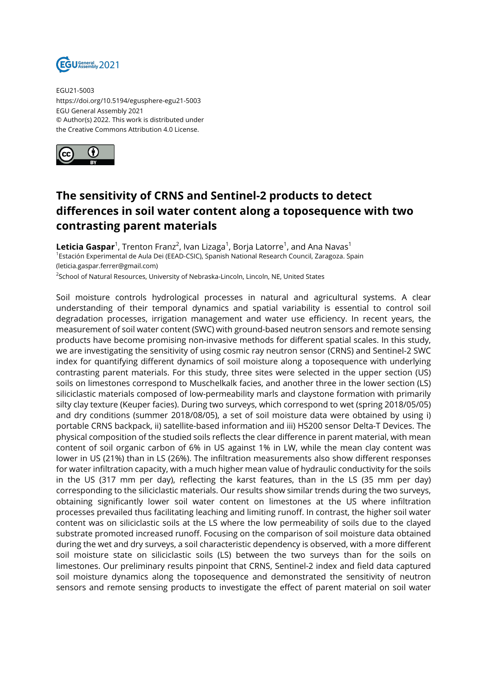

EGU21-5003 https://doi.org/10.5194/egusphere-egu21-5003 EGU General Assembly 2021 © Author(s) 2022. This work is distributed under the Creative Commons Attribution 4.0 License.



## **The sensitivity of CRNS and Sentinel-2 products to detect differences in soil water content along a toposequence with two contrasting parent materials**

**Leticia Gaspar**<sup>1</sup>, Trenton Franz<sup>2</sup>, Ivan Lizaga<sup>1</sup>, Borja Latorre<sup>1</sup>, and Ana Navas<sup>1</sup> <sup>1</sup>Estación Experimental de Aula Dei (EEAD-CSIC), Spanish National Research Council, Zaragoza. Spain (leticia.gaspar.ferrer@gmail.com)

<sup>2</sup>School of Natural Resources, University of Nebraska-Lincoln, Lincoln, NE, United States

Soil moisture controls hydrological processes in natural and agricultural systems. A clear understanding of their temporal dynamics and spatial variability is essential to control soil degradation processes, irrigation management and water use efficiency. In recent years, the measurement of soil water content (SWC) with ground-based neutron sensors and remote sensing products have become promising non-invasive methods for different spatial scales. In this study, we are investigating the sensitivity of using cosmic ray neutron sensor (CRNS) and Sentinel-2 SWC index for quantifying different dynamics of soil moisture along a toposequence with underlying contrasting parent materials. For this study, three sites were selected in the upper section (US) soils on limestones correspond to Muschelkalk facies, and another three in the lower section (LS) siliciclastic materials composed of low-permeability marls and claystone formation with primarily silty clay texture (Keuper facies). During two surveys, which correspond to wet (spring 2018/05/05) and dry conditions (summer 2018/08/05), a set of soil moisture data were obtained by using i) portable CRNS backpack, ii) satellite-based information and iii) HS200 sensor Delta-T Devices. The physical composition of the studied soils reflects the clear difference in parent material, with mean content of soil organic carbon of 6% in US against 1% in LW, while the mean clay content was lower in US (21%) than in LS (26%). The infiltration measurements also show different responses for water infiltration capacity, with a much higher mean value of hydraulic conductivity for the soils in the US (317 mm per day), reflecting the karst features, than in the LS (35 mm per day) corresponding to the siliciclastic materials. Our results show similar trends during the two surveys, obtaining significantly lower soil water content on limestones at the US where infiltration processes prevailed thus facilitating leaching and limiting runoff. In contrast, the higher soil water content was on siliciclastic soils at the LS where the low permeability of soils due to the clayed substrate promoted increased runoff. Focusing on the comparison of soil moisture data obtained during the wet and dry surveys, a soil characteristic dependency is observed, with a more different soil moisture state on siliciclastic soils (LS) between the two surveys than for the soils on limestones. Our preliminary results pinpoint that CRNS, Sentinel-2 index and field data captured soil moisture dynamics along the toposequence and demonstrated the sensitivity of neutron sensors and remote sensing products to investigate the effect of parent material on soil water